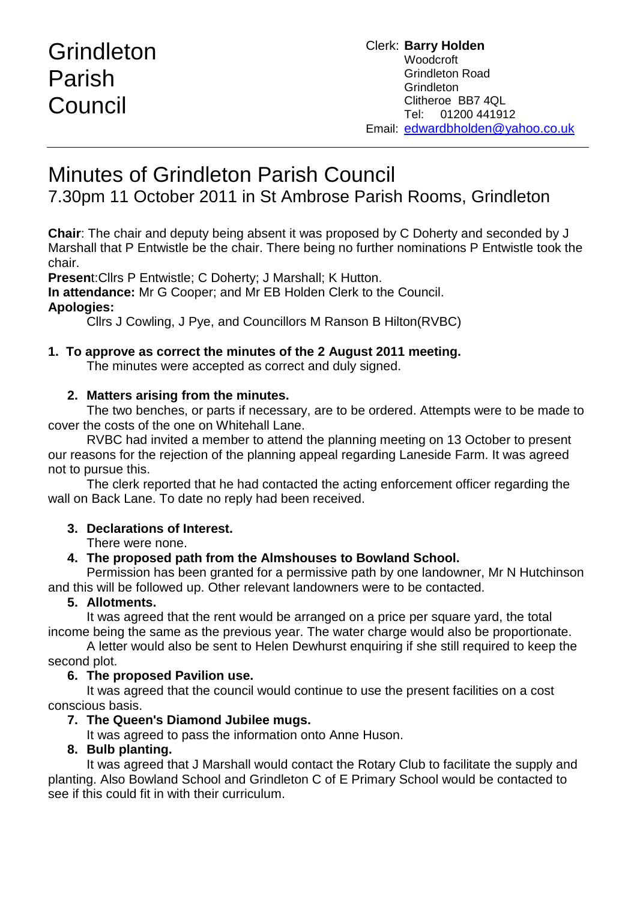# Grindleton Parish **Council**

# Minutes of Grindleton Parish Council

7.30pm 11 October 2011 in St Ambrose Parish Rooms, Grindleton

**Chair**: The chair and deputy being absent it was proposed by C Doherty and seconded by J Marshall that P Entwistle be the chair. There being no further nominations P Entwistle took the chair.

**Presen**t:Cllrs P Entwistle; C Doherty; J Marshall; K Hutton.

**In attendance:** Mr G Cooper; and Mr EB Holden Clerk to the Council.

# **Apologies:**

Cllrs J Cowling, J Pye, and Councillors M Ranson B Hilton(RVBC)

# **1. To approve as correct the minutes of the 2 August 2011 meeting.**

The minutes were accepted as correct and duly signed.

# **2. Matters arising from the minutes.**

The two benches, or parts if necessary, are to be ordered. Attempts were to be made to cover the costs of the one on Whitehall Lane.

RVBC had invited a member to attend the planning meeting on 13 October to present our reasons for the rejection of the planning appeal regarding Laneside Farm. It was agreed not to pursue this.

The clerk reported that he had contacted the acting enforcement officer regarding the wall on Back Lane. To date no reply had been received.

# **3. Declarations of Interest.**

There were none.

# **4. The proposed path from the Almshouses to Bowland School.**

Permission has been granted for a permissive path by one landowner, Mr N Hutchinson and this will be followed up. Other relevant landowners were to be contacted.

# **5. Allotments.**

It was agreed that the rent would be arranged on a price per square yard, the total income being the same as the previous year. The water charge would also be proportionate.

A letter would also be sent to Helen Dewhurst enquiring if she still required to keep the second plot.

# **6. The proposed Pavilion use.**

It was agreed that the council would continue to use the present facilities on a cost conscious basis.

# **7. The Queen's Diamond Jubilee mugs.**

It was agreed to pass the information onto Anne Huson.

# **8. Bulb planting.**

It was agreed that J Marshall would contact the Rotary Club to facilitate the supply and planting. Also Bowland School and Grindleton C of E Primary School would be contacted to see if this could fit in with their curriculum.